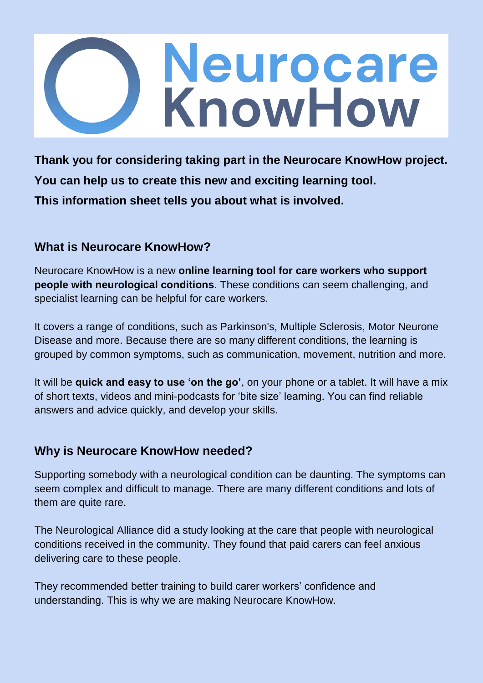# **Neurocare**<br>KnowHow

**Thank you for considering taking part in the Neurocare KnowHow project. You can help us to create this new and exciting learning tool. This information sheet tells you about what is involved.**

## **What is Neurocare KnowHow?**

Neurocare KnowHow is a new **online learning tool for care workers who support people with neurological conditions**. These conditions can seem challenging, and specialist learning can be helpful for care workers.

It covers a range of conditions, such as Parkinson's, Multiple Sclerosis, Motor Neurone Disease and more. Because there are so many different conditions, the learning is grouped by common symptoms, such as communication, movement, nutrition and more.

It will be **quick and easy to use 'on the go'**, on your phone or a tablet. It will have a mix of short texts, videos and mini-podcasts for 'bite size' learning. You can find reliable answers and advice quickly, and develop your skills.

# **Why is Neurocare KnowHow needed?**

Supporting somebody with a neurological condition can be daunting. The symptoms can seem complex and difficult to manage. There are many different conditions and lots of them are quite rare.

The Neurological Alliance did a study looking at the care that people with neurological conditions received in the community. They found that paid carers can feel anxious delivering care to these people.

They recommended better training to build carer workers' confidence and understanding. This is why we are making Neurocare KnowHow.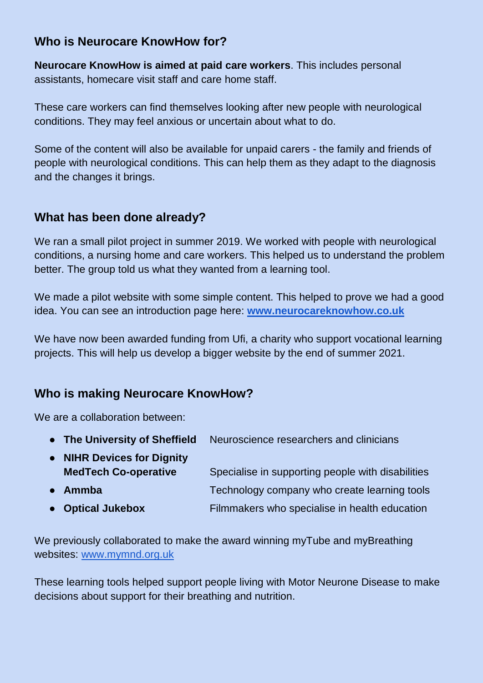# **Who is Neurocare KnowHow for?**

**Neurocare KnowHow is aimed at paid care workers**. This includes personal assistants, homecare visit staff and care home staff.

These care workers can find themselves looking after new people with neurological conditions. They may feel anxious or uncertain about what to do.

Some of the content will also be available for unpaid carers - the family and friends of people with neurological conditions. This can help them as they adapt to the diagnosis and the changes it brings.

# **What has been done already?**

We ran a small pilot project in summer 2019. We worked with people with neurological conditions, a nursing home and care workers. This helped us to understand the problem better. The group told us what they wanted from a learning tool.

We made a pilot website with some simple content. This helped to prove we had a good idea. You can see an introduction page here: **[www.neurocareknowhow.co.uk](http://www.neurocareknowhow.co.uk/)**

We have now been awarded funding from Ufi, a charity who support vocational learning projects. This will help us develop a bigger website by the end of summer 2021.

# **Who is making Neurocare KnowHow?**

We are a collaboration between:

| • The University of Sheffield | Neuroscience researchers and clinicians           |
|-------------------------------|---------------------------------------------------|
| • NIHR Devices for Dignity    |                                                   |
| <b>MedTech Co-operative</b>   | Specialise in supporting people with disabilities |
| $\bullet$ Ammba               | Technology company who create learning tools      |
| • Optical Jukebox             | Filmmakers who specialise in health education     |

We previously collaborated to make the award winning myTube and myBreathing websites: [www.mymnd.org.uk](http://www.mymnd.org.uk/)

These learning tools helped support people living with Motor Neurone Disease to make decisions about support for their breathing and nutrition.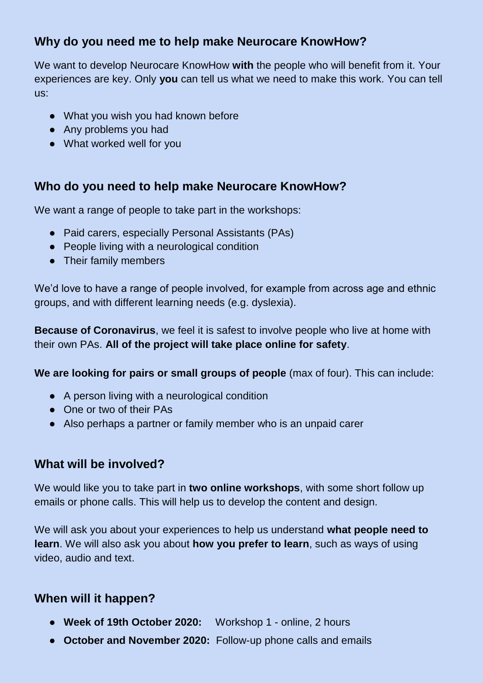# **Why do you need me to help make Neurocare KnowHow?**

We want to develop Neurocare KnowHow **with** the people who will benefit from it. Your experiences are key. Only **you** can tell us what we need to make this work. You can tell us:

- What you wish you had known before
- Any problems you had
- What worked well for you

#### **Who do you need to help make Neurocare KnowHow?**

We want a range of people to take part in the workshops:

- Paid carers, especially Personal Assistants (PAs)
- People living with a neurological condition
- Their family members

We'd love to have a range of people involved, for example from across age and ethnic groups, and with different learning needs (e.g. dyslexia).

**Because of Coronavirus**, we feel it is safest to involve people who live at home with their own PAs. **All of the project will take place online for safety**.

**We are looking for pairs or small groups of people** (max of four). This can include:

- A person living with a neurological condition
- One or two of their PAs
- Also perhaps a partner or family member who is an unpaid carer

## **What will be involved?**

We would like you to take part in **two online workshops**, with some short follow up emails or phone calls. This will help us to develop the content and design.

We will ask you about your experiences to help us understand **what people need to learn**. We will also ask you about **how you prefer to learn**, such as ways of using video, audio and text.

## **When will it happen?**

- **Week of 19th October 2020:** Workshop 1 online, 2 hours
- **October and November 2020:** Follow-up phone calls and emails